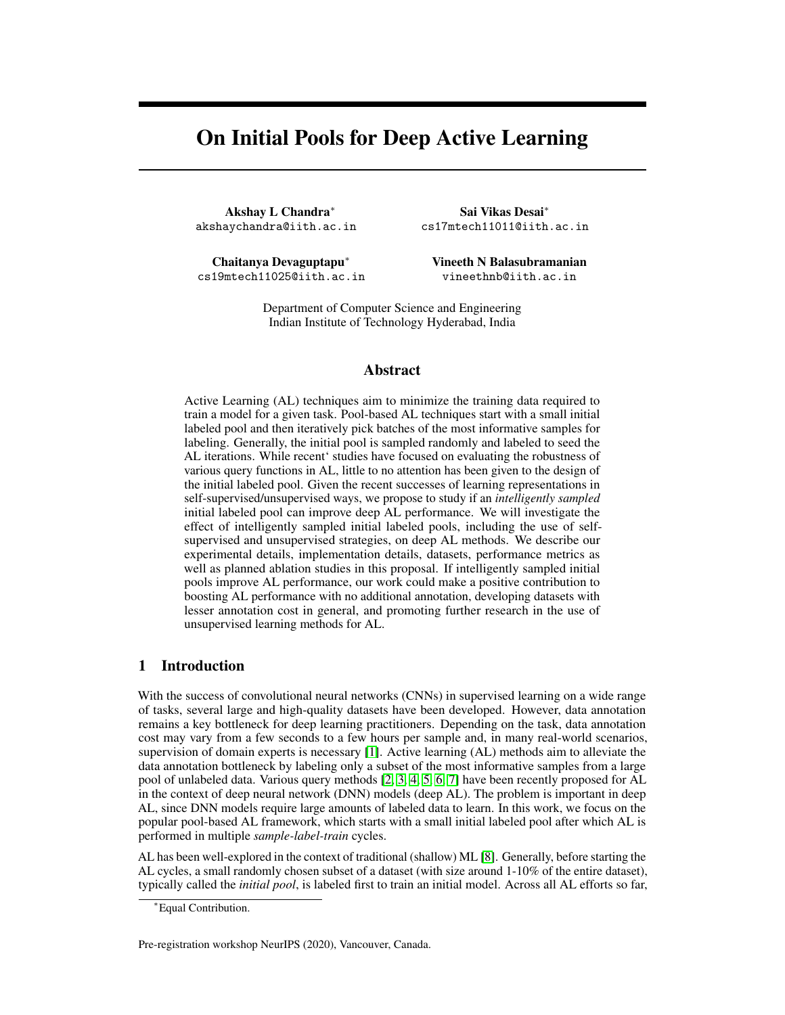# On Initial Pools for Deep Active Learning

Akshay L Chandra<sup>∗</sup> akshaychandra@iith.ac.in

Sai Vikas Desai<sup>∗</sup> cs17mtech11011@iith.ac.in

Chaitanya Devaguptapu<sup>∗</sup> cs19mtech11025@iith.ac.in Vineeth N Balasubramanian vineethnb@iith.ac.in

Department of Computer Science and Engineering Indian Institute of Technology Hyderabad, India

## Abstract

Active Learning (AL) techniques aim to minimize the training data required to train a model for a given task. Pool-based AL techniques start with a small initial labeled pool and then iteratively pick batches of the most informative samples for labeling. Generally, the initial pool is sampled randomly and labeled to seed the AL iterations. While recent' studies have focused on evaluating the robustness of various query functions in AL, little to no attention has been given to the design of the initial labeled pool. Given the recent successes of learning representations in self-supervised/unsupervised ways, we propose to study if an *intelligently sampled* initial labeled pool can improve deep AL performance. We will investigate the effect of intelligently sampled initial labeled pools, including the use of selfsupervised and unsupervised strategies, on deep AL methods. We describe our experimental details, implementation details, datasets, performance metrics as well as planned ablation studies in this proposal. If intelligently sampled initial pools improve AL performance, our work could make a positive contribution to boosting AL performance with no additional annotation, developing datasets with lesser annotation cost in general, and promoting further research in the use of unsupervised learning methods for AL.

## <span id="page-0-0"></span>1 Introduction

With the success of convolutional neural networks (CNNs) in supervised learning on a wide range of tasks, several large and high-quality datasets have been developed. However, data annotation remains a key bottleneck for deep learning practitioners. Depending on the task, data annotation cost may vary from a few seconds to a few hours per sample and, in many real-world scenarios, supervision of domain experts is necessary [\[1\]](#page-5-0). Active learning (AL) methods aim to alleviate the data annotation bottleneck by labeling only a subset of the most informative samples from a large pool of unlabeled data. Various query methods [\[2,](#page-5-1) [3,](#page-5-2) [4,](#page-5-3) [5,](#page-5-4) [6,](#page-5-5) [7\]](#page-5-6) have been recently proposed for AL in the context of deep neural network (DNN) models (deep AL). The problem is important in deep AL, since DNN models require large amounts of labeled data to learn. In this work, we focus on the popular pool-based AL framework, which starts with a small initial labeled pool after which AL is performed in multiple *sample-label-train* cycles.

AL has been well-explored in the context of traditional (shallow) ML [\[8\]](#page-5-7). Generally, before starting the AL cycles, a small randomly chosen subset of a dataset (with size around 1-10% of the entire dataset), typically called the *initial pool*, is labeled first to train an initial model. Across all AL efforts so far,

Pre-registration workshop NeurIPS (2020), Vancouver, Canada.

<sup>∗</sup>Equal Contribution.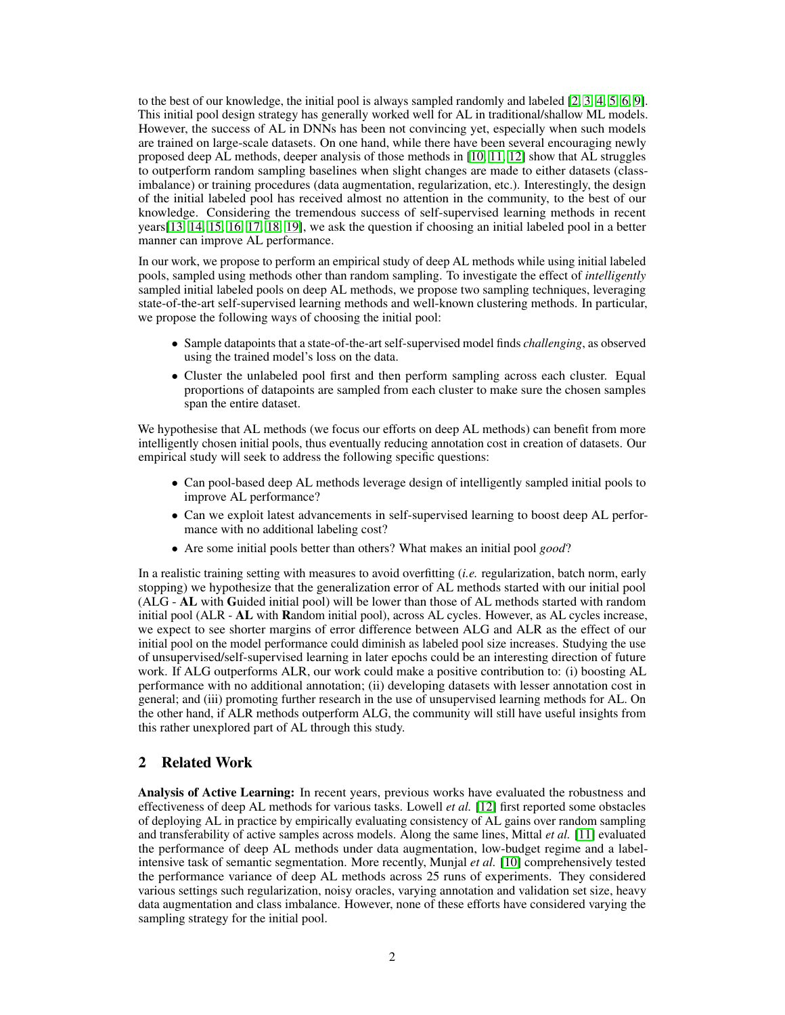to the best of our knowledge, the initial pool is always sampled randomly and labeled [\[2,](#page-5-1) [3,](#page-5-2) [4,](#page-5-3) [5,](#page-5-4) [6,](#page-5-5) [9\]](#page-5-8). This initial pool design strategy has generally worked well for AL in traditional/shallow ML models. However, the success of AL in DNNs has been not convincing yet, especially when such models are trained on large-scale datasets. On one hand, while there have been several encouraging newly proposed deep AL methods, deeper analysis of those methods in [\[10,](#page-5-9) [11,](#page-5-10) [12\]](#page-5-11) show that AL struggles to outperform random sampling baselines when slight changes are made to either datasets (classimbalance) or training procedures (data augmentation, regularization, etc.). Interestingly, the design of the initial labeled pool has received almost no attention in the community, to the best of our knowledge. Considering the tremendous success of self-supervised learning methods in recent years[\[13,](#page-5-12) [14,](#page-5-13) [15,](#page-5-14) [16,](#page-5-15) [17,](#page-5-16) [18,](#page-5-17) [19\]](#page-5-18), we ask the question if choosing an initial labeled pool in a better manner can improve AL performance.

In our work, we propose to perform an empirical study of deep AL methods while using initial labeled pools, sampled using methods other than random sampling. To investigate the effect of *intelligently* sampled initial labeled pools on deep AL methods, we propose two sampling techniques, leveraging state-of-the-art self-supervised learning methods and well-known clustering methods. In particular, we propose the following ways of choosing the initial pool:

- Sample datapoints that a state-of-the-art self-supervised model finds *challenging*, as observed using the trained model's loss on the data.
- Cluster the unlabeled pool first and then perform sampling across each cluster. Equal proportions of datapoints are sampled from each cluster to make sure the chosen samples span the entire dataset.

We hypothesise that AL methods (we focus our efforts on deep AL methods) can benefit from more intelligently chosen initial pools, thus eventually reducing annotation cost in creation of datasets. Our empirical study will seek to address the following specific questions:

- Can pool-based deep AL methods leverage design of intelligently sampled initial pools to improve AL performance?
- Can we exploit latest advancements in self-supervised learning to boost deep AL performance with no additional labeling cost?
- Are some initial pools better than others? What makes an initial pool *good*?

In a realistic training setting with measures to avoid overfitting (*i.e.* regularization, batch norm, early stopping) we hypothesize that the generalization error of AL methods started with our initial pool (ALG - AL with Guided initial pool) will be lower than those of AL methods started with random initial pool (ALR - AL with Random initial pool), across AL cycles. However, as AL cycles increase, we expect to see shorter margins of error difference between ALG and ALR as the effect of our initial pool on the model performance could diminish as labeled pool size increases. Studying the use of unsupervised/self-supervised learning in later epochs could be an interesting direction of future work. If ALG outperforms ALR, our work could make a positive contribution to: (i) boosting AL performance with no additional annotation; (ii) developing datasets with lesser annotation cost in general; and (iii) promoting further research in the use of unsupervised learning methods for AL. On the other hand, if ALR methods outperform ALG, the community will still have useful insights from this rather unexplored part of AL through this study.

## 2 Related Work

Analysis of Active Learning: In recent years, previous works have evaluated the robustness and effectiveness of deep AL methods for various tasks. Lowell *et al.* [\[12\]](#page-5-11) first reported some obstacles of deploying AL in practice by empirically evaluating consistency of AL gains over random sampling and transferability of active samples across models. Along the same lines, Mittal *et al.* [\[11\]](#page-5-10) evaluated the performance of deep AL methods under data augmentation, low-budget regime and a labelintensive task of semantic segmentation. More recently, Munjal *et al.* [\[10\]](#page-5-9) comprehensively tested the performance variance of deep AL methods across 25 runs of experiments. They considered various settings such regularization, noisy oracles, varying annotation and validation set size, heavy data augmentation and class imbalance. However, none of these efforts have considered varying the sampling strategy for the initial pool.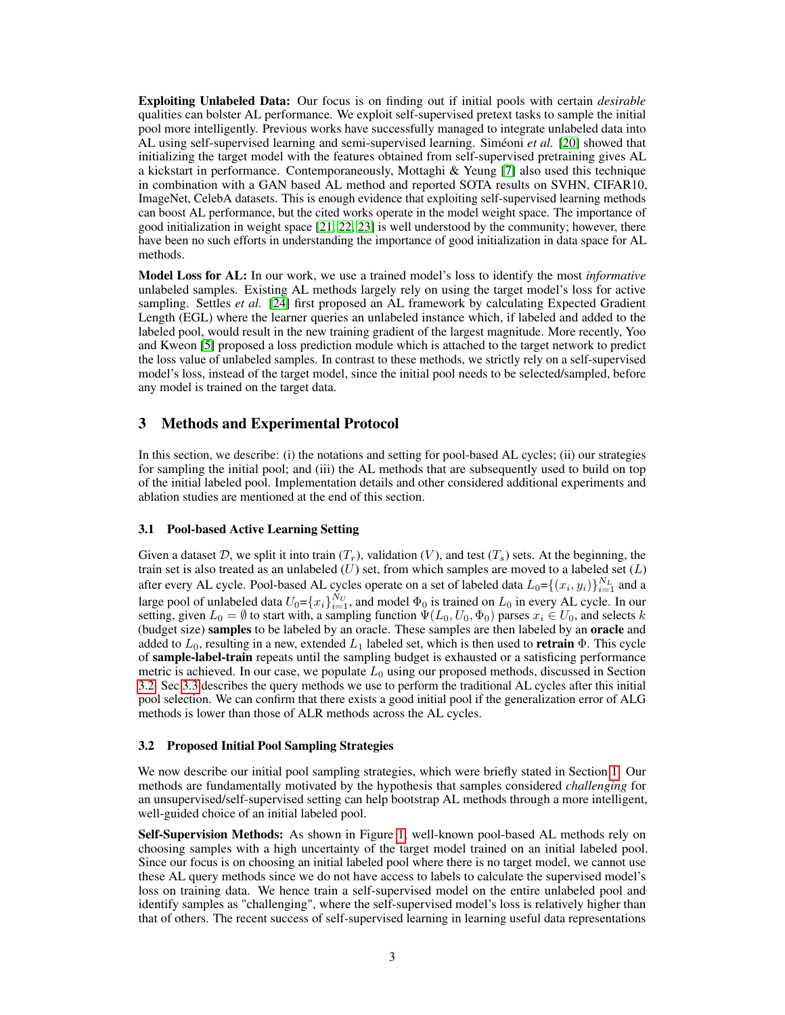Exploiting Unlabeled Data: Our focus is on finding out if initial pools with certain *desirable* qualities can bolster AL performance. We exploit self-supervised pretext tasks to sample the initial pool more intelligently. Previous works have successfully managed to integrate unlabeled data into AL using self-supervised learning and semi-supervised learning. Siméoni *et al.* [\[20\]](#page-6-0) showed that initializing the target model with the features obtained from self-supervised pretraining gives AL a kickstart in performance. Contemporaneously, Mottaghi & Yeung [\[7\]](#page-5-6) also used this technique in combination with a GAN based AL method and reported SOTA results on SVHN, CIFAR10, ImageNet, CelebA datasets. This is enough evidence that exploiting self-supervised learning methods can boost AL performance, but the cited works operate in the model weight space. The importance of good initialization in weight space [\[21,](#page-6-1) [22,](#page-6-2) [23\]](#page-6-3) is well understood by the community; however, there have been no such efforts in understanding the importance of good initialization in data space for AL methods.

Model Loss for AL: In our work, we use a trained model's loss to identify the most *informative* unlabeled samples. Existing AL methods largely rely on using the target model's loss for active sampling. Settles *et al.* [\[24\]](#page-6-4) first proposed an AL framework by calculating Expected Gradient Length (EGL) where the learner queries an unlabeled instance which, if labeled and added to the labeled pool, would result in the new training gradient of the largest magnitude. More recently, Yoo and Kweon [\[5\]](#page-5-4) proposed a loss prediction module which is attached to the target network to predict the loss value of unlabeled samples. In contrast to these methods, we strictly rely on a self-supervised model's loss, instead of the target model, since the initial pool needs to be selected/sampled, before any model is trained on the target data.

# 3 Methods and Experimental Protocol

In this section, we describe: (i) the notations and setting for pool-based AL cycles; (ii) our strategies for sampling the initial pool; and (iii) the AL methods that are subsequently used to build on top of the initial labeled pool. Implementation details and other considered additional experiments and ablation studies are mentioned at the end of this section.

## 3.1 Pool-based Active Learning Setting

Given a dataset D, we split it into train  $(T_r)$ , validation  $(V)$ , and test  $(T_s)$  sets. At the beginning, the train set is also treated as an unlabeled  $(U)$  set, from which samples are moved to a labeled set  $(L)$ after every AL cycle. Pool-based AL cycles operate on a set of labeled data  $L_0 = \{(x_i, y_i)\}_{i=1}^{N_L}$  and a large pool of unlabeled data  $U_0 = \{x_i\}_{i=1}^{N_U}$ , and model  $\Phi_0$  is trained on  $L_0$  in every AL cycle. In our setting, given  $L_0 = \emptyset$  to start with, a sampling function  $\Psi(L_0, U_0, \Phi_0)$  parses  $x_i \in U_0$ , and selects k (budget size) samples to be labeled by an oracle. These samples are then labeled by an oracle and added to  $L_0$ , resulting in a new, extended  $L_1$  labeled set, which is then used to **retrain**  $\Phi$ . This cycle of sample-label-train repeats until the sampling budget is exhausted or a satisficing performance metric is achieved. In our case, we populate  $L_0$  using our proposed methods, discussed in Section [3.2.](#page-2-0) Sec [3.3](#page-4-0) describes the query methods we use to perform the traditional AL cycles after this initial pool selection. We can confirm that there exists a good initial pool if the generalization error of ALG methods is lower than those of ALR methods across the AL cycles.

#### <span id="page-2-0"></span>3.2 Proposed Initial Pool Sampling Strategies

We now describe our initial pool sampling strategies, which were briefly stated in Section [1.](#page-0-0) Our methods are fundamentally motivated by the hypothesis that samples considered *challenging* for an unsupervised/self-supervised setting can help bootstrap AL methods through a more intelligent, well-guided choice of an initial labeled pool.

Self-Supervision Methods: As shown in Figure [1,](#page-3-0) well-known pool-based AL methods rely on choosing samples with a high uncertainty of the target model trained on an initial labeled pool. Since our focus is on choosing an initial labeled pool where there is no target model, we cannot use these AL query methods since we do not have access to labels to calculate the supervised model's loss on training data. We hence train a self-supervised model on the entire unlabeled pool and identify samples as "challenging", where the self-supervised model's loss is relatively higher than that of others. The recent success of self-supervised learning in learning useful data representations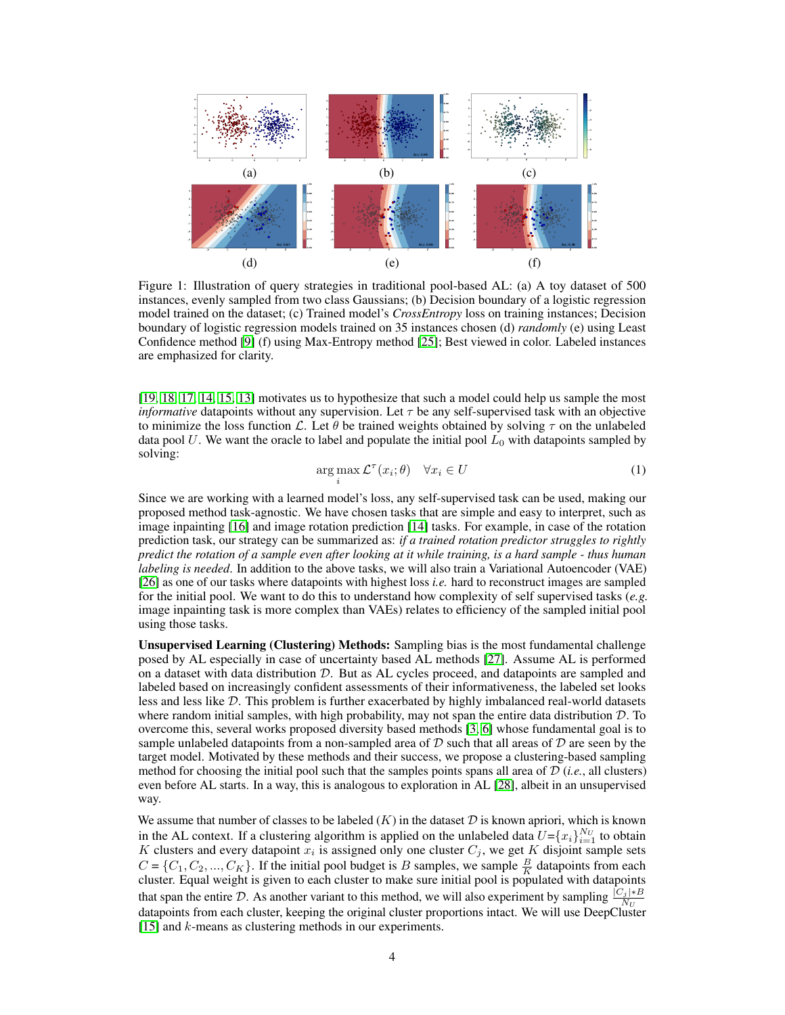

<span id="page-3-0"></span>Figure 1: Illustration of query strategies in traditional pool-based AL: (a) A toy dataset of 500 instances, evenly sampled from two class Gaussians; (b) Decision boundary of a logistic regression model trained on the dataset; (c) Trained model's *CrossEntropy* loss on training instances; Decision boundary of logistic regression models trained on 35 instances chosen (d) *randomly* (e) using Least Confidence method [\[9\]](#page-5-8) (f) using Max-Entropy method [\[25\]](#page-6-5); Best viewed in color. Labeled instances are emphasized for clarity.

[\[19,](#page-5-18) [18,](#page-5-17) [17,](#page-5-16) [14,](#page-5-13) [15,](#page-5-14) [13\]](#page-5-12) motivates us to hypothesize that such a model could help us sample the most *informative* datapoints without any supervision. Let  $\tau$  be any self-supervised task with an objective to minimize the loss function L. Let  $\theta$  be trained weights obtained by solving  $\tau$  on the unlabeled data pool  $U$ . We want the oracle to label and populate the initial pool  $L_0$  with datapoints sampled by solving:

$$
\arg\max_{i} \mathcal{L}^{\tau}(x_i; \theta) \quad \forall x_i \in U \tag{1}
$$

<span id="page-3-1"></span>Since we are working with a learned model's loss, any self-supervised task can be used, making our proposed method task-agnostic. We have chosen tasks that are simple and easy to interpret, such as image inpainting [\[16\]](#page-5-15) and image rotation prediction [\[14\]](#page-5-13) tasks. For example, in case of the rotation prediction task, our strategy can be summarized as: *if a trained rotation predictor struggles to rightly predict the rotation of a sample even after looking at it while training, is a hard sample - thus human labeling is needed*. In addition to the above tasks, we will also train a Variational Autoencoder (VAE) [\[26\]](#page-6-6) as one of our tasks where datapoints with highest loss *i.e.* hard to reconstruct images are sampled for the initial pool. We want to do this to understand how complexity of self supervised tasks (*e.g.* image inpainting task is more complex than VAEs) relates to efficiency of the sampled initial pool using those tasks.

Unsupervised Learning (Clustering) Methods: Sampling bias is the most fundamental challenge posed by AL especially in case of uncertainty based AL methods [\[27\]](#page-6-7). Assume AL is performed on a dataset with data distribution  $D$ . But as AL cycles proceed, and datapoints are sampled and labeled based on increasingly confident assessments of their informativeness, the labeled set looks less and less like D. This problem is further exacerbated by highly imbalanced real-world datasets where random initial samples, with high probability, may not span the entire data distribution  $D$ . To overcome this, several works proposed diversity based methods [\[3,](#page-5-2) [6\]](#page-5-5) whose fundamental goal is to sample unlabeled datapoints from a non-sampled area of  $D$  such that all areas of  $D$  are seen by the target model. Motivated by these methods and their success, we propose a clustering-based sampling method for choosing the initial pool such that the samples points spans all area of  $D$  (*i.e.*, all clusters) even before AL starts. In a way, this is analogous to exploration in AL [\[28\]](#page-6-8), albeit in an unsupervised way.

We assume that number of classes to be labeled  $(K)$  in the dataset  $D$  is known apriori, which is known in the AL context. If a clustering algorithm is applied on the unlabeled data  $U = \{x_i\}_{i=1}^{N_U}$  to obtain K clusters and every datapoint  $x_i$  is assigned only one cluster  $C_j$ , we get K disjoint sample sets  $C = \{C_1, C_2, ..., C_K\}$ . If the initial pool budget is B samples, we sample  $\frac{B}{K}$  datapoints from each cluster. Equal weight is given to each cluster to make sure initial pool is populated with datapoints that span the entire D. As another variant to this method, we will also experiment by sampling  $\frac{|C_j| * B}{N_U}$ datapoints from each cluster, keeping the original cluster proportions intact. We will use DeepCluster [\[15\]](#page-5-14) and k-means as clustering methods in our experiments.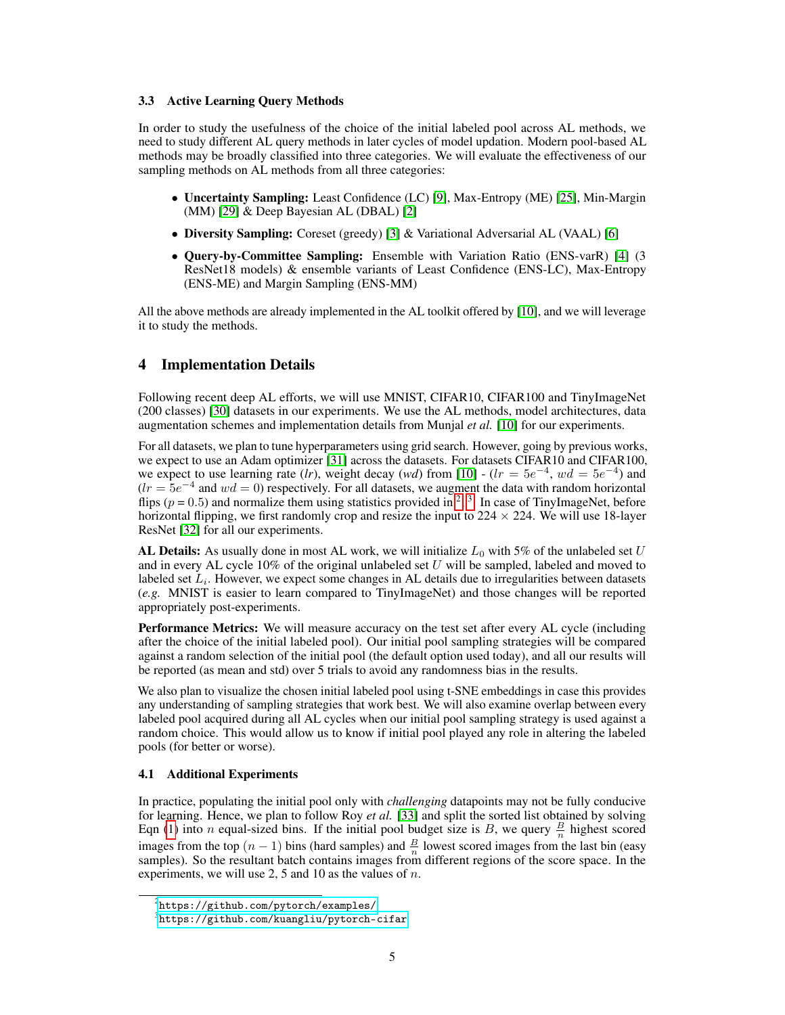#### <span id="page-4-0"></span>3.3 Active Learning Query Methods

In order to study the usefulness of the choice of the initial labeled pool across AL methods, we need to study different AL query methods in later cycles of model updation. Modern pool-based AL methods may be broadly classified into three categories. We will evaluate the effectiveness of our sampling methods on AL methods from all three categories:

- Uncertainty Sampling: Least Confidence (LC) [\[9\]](#page-5-8), Max-Entropy (ME) [\[25\]](#page-6-5), Min-Margin (MM) [\[29\]](#page-6-9) & Deep Bayesian AL (DBAL) [\[2\]](#page-5-1)
- Diversity Sampling: Coreset (greedy) [\[3\]](#page-5-2) & Variational Adversarial AL (VAAL) [\[6\]](#page-5-5)
- Query-by-Committee Sampling: Ensemble with Variation Ratio (ENS-varR) [\[4\]](#page-5-3) (3 ResNet18 models) & ensemble variants of Least Confidence (ENS-LC), Max-Entropy (ENS-ME) and Margin Sampling (ENS-MM)

All the above methods are already implemented in the AL toolkit offered by [\[10\]](#page-5-9), and we will leverage it to study the methods.

# 4 Implementation Details

Following recent deep AL efforts, we will use MNIST, CIFAR10, CIFAR100 and TinyImageNet (200 classes) [\[30\]](#page-6-10) datasets in our experiments. We use the AL methods, model architectures, data augmentation schemes and implementation details from Munjal *et al.* [\[10\]](#page-5-9) for our experiments.

For all datasets, we plan to tune hyperparameters using grid search. However, going by previous works, we expect to use an Adam optimizer [\[31\]](#page-6-11) across the datasets. For datasets CIFAR10 and CIFAR100, we expect to use learning rate  $(lr)$ , weight decay (*wd*) from [\[10\]](#page-5-9) -  $(lr = 5e^{-4}, wd = 5e^{-4})$  and  $(lr = 5e^{-4}$  and  $wd = 0$ ) respectively. For all datasets, we augment the data with random horizontal flips ( $p = 0.5$ ) and normalize them using statistics provided in <sup>[2](#page-4-1)</sup>, <sup>[3](#page-4-2)</sup>. In case of TinyImageNet, before horizontal flipping, we first randomly crop and resize the input to  $224 \times 224$ . We will use 18-layer ResNet [\[32\]](#page-6-12) for all our experiments.

AL Details: As usually done in most AL work, we will initialize  $L_0$  with 5% of the unlabeled set U and in every AL cycle 10% of the original unlabeled set  $U$  will be sampled, labeled and moved to labeled set  $L_i$ . However, we expect some changes in AL details due to irregularities between datasets (*e.g.* MNIST is easier to learn compared to TinyImageNet) and those changes will be reported appropriately post-experiments.

Performance Metrics: We will measure accuracy on the test set after every AL cycle (including after the choice of the initial labeled pool). Our initial pool sampling strategies will be compared against a random selection of the initial pool (the default option used today), and all our results will be reported (as mean and std) over 5 trials to avoid any randomness bias in the results.

We also plan to visualize the chosen initial labeled pool using t-SNE embeddings in case this provides any understanding of sampling strategies that work best. We will also examine overlap between every labeled pool acquired during all AL cycles when our initial pool sampling strategy is used against a random choice. This would allow us to know if initial pool played any role in altering the labeled pools (for better or worse).

## 4.1 Additional Experiments

In practice, populating the initial pool only with *challenging* datapoints may not be fully conducive for learning. Hence, we plan to follow Roy *et al.* [\[33\]](#page-6-13) and split the sorted list obtained by solving Eqn [\(1\)](#page-3-1) into *n* equal-sized bins. If the initial pool budget size is B, we query  $\frac{B}{n}$  highest scored Left (1) line *n* equal-sized onlis. It the finitial poor oddget size is *D*, we query  $\frac{1}{n}$  inginest scored images from the top  $(n - 1)$  bins (hard samples) and  $\frac{1}{n}$  lowest scored images from the last bin (easy samples). So the resultant batch contains images from different regions of the score space. In the experiments, we will use 2, 5 and 10 as the values of  $n$ .

<span id="page-4-1"></span> $^{2}$ <https://github.com/pytorch/examples/>

<span id="page-4-2"></span> $^3$ <https://github.com/kuangliu/pytorch-cifar>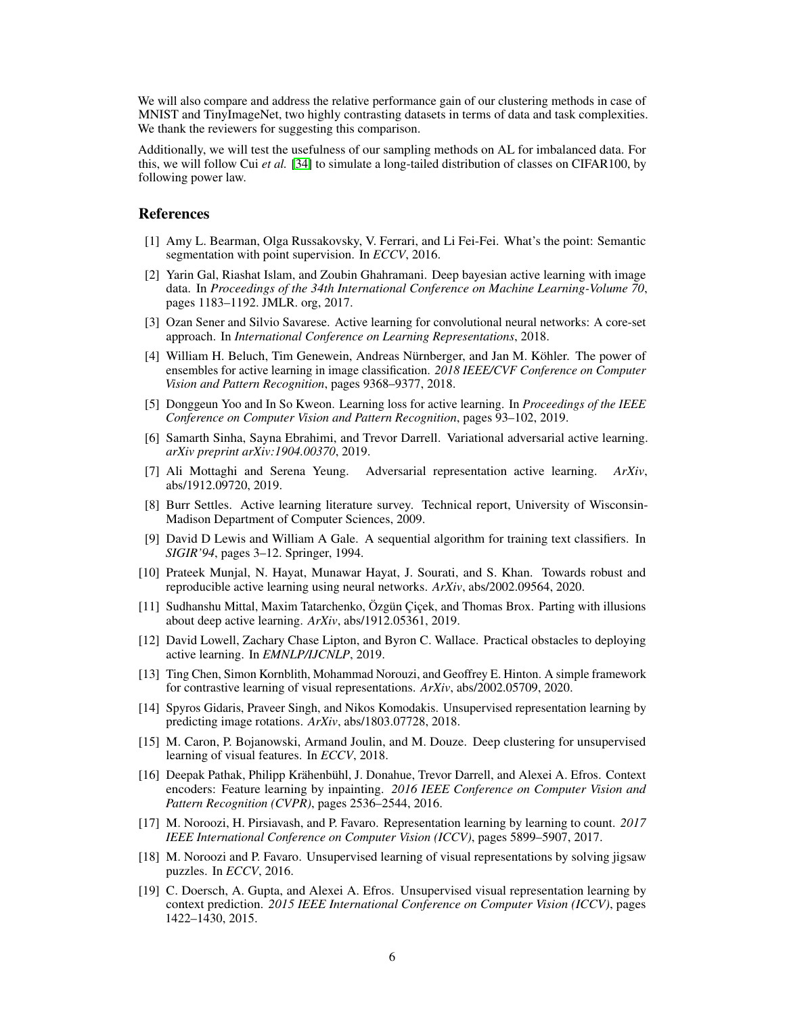We will also compare and address the relative performance gain of our clustering methods in case of MNIST and TinyImageNet, two highly contrasting datasets in terms of data and task complexities. We thank the reviewers for suggesting this comparison.

Additionally, we will test the usefulness of our sampling methods on AL for imbalanced data. For this, we will follow Cui *et al.* [\[34\]](#page-6-14) to simulate a long-tailed distribution of classes on CIFAR100, by following power law.

## References

- <span id="page-5-0"></span>[1] Amy L. Bearman, Olga Russakovsky, V. Ferrari, and Li Fei-Fei. What's the point: Semantic segmentation with point supervision. In *ECCV*, 2016.
- <span id="page-5-1"></span>[2] Yarin Gal, Riashat Islam, and Zoubin Ghahramani. Deep bayesian active learning with image data. In *Proceedings of the 34th International Conference on Machine Learning-Volume 70*, pages 1183–1192. JMLR. org, 2017.
- <span id="page-5-2"></span>[3] Ozan Sener and Silvio Savarese. Active learning for convolutional neural networks: A core-set approach. In *International Conference on Learning Representations*, 2018.
- <span id="page-5-3"></span>[4] William H. Beluch, Tim Genewein, Andreas Nürnberger, and Jan M. Köhler. The power of ensembles for active learning in image classification. *2018 IEEE/CVF Conference on Computer Vision and Pattern Recognition*, pages 9368–9377, 2018.
- <span id="page-5-4"></span>[5] Donggeun Yoo and In So Kweon. Learning loss for active learning. In *Proceedings of the IEEE Conference on Computer Vision and Pattern Recognition*, pages 93–102, 2019.
- <span id="page-5-5"></span>[6] Samarth Sinha, Sayna Ebrahimi, and Trevor Darrell. Variational adversarial active learning. *arXiv preprint arXiv:1904.00370*, 2019.
- <span id="page-5-6"></span>[7] Ali Mottaghi and Serena Yeung. Adversarial representation active learning. *ArXiv*, abs/1912.09720, 2019.
- <span id="page-5-7"></span>[8] Burr Settles. Active learning literature survey. Technical report, University of Wisconsin-Madison Department of Computer Sciences, 2009.
- <span id="page-5-8"></span>[9] David D Lewis and William A Gale. A sequential algorithm for training text classifiers. In *SIGIR'94*, pages 3–12. Springer, 1994.
- <span id="page-5-9"></span>[10] Prateek Munjal, N. Hayat, Munawar Hayat, J. Sourati, and S. Khan. Towards robust and reproducible active learning using neural networks. *ArXiv*, abs/2002.09564, 2020.
- <span id="page-5-10"></span>[11] Sudhanshu Mittal, Maxim Tatarchenko, Özgün Çiçek, and Thomas Brox. Parting with illusions about deep active learning. *ArXiv*, abs/1912.05361, 2019.
- <span id="page-5-11"></span>[12] David Lowell, Zachary Chase Lipton, and Byron C. Wallace. Practical obstacles to deploying active learning. In *EMNLP/IJCNLP*, 2019.
- <span id="page-5-12"></span>[13] Ting Chen, Simon Kornblith, Mohammad Norouzi, and Geoffrey E. Hinton. A simple framework for contrastive learning of visual representations. *ArXiv*, abs/2002.05709, 2020.
- <span id="page-5-13"></span>[14] Spyros Gidaris, Praveer Singh, and Nikos Komodakis. Unsupervised representation learning by predicting image rotations. *ArXiv*, abs/1803.07728, 2018.
- <span id="page-5-14"></span>[15] M. Caron, P. Bojanowski, Armand Joulin, and M. Douze. Deep clustering for unsupervised learning of visual features. In *ECCV*, 2018.
- <span id="page-5-15"></span>[16] Deepak Pathak, Philipp Krähenbühl, J. Donahue, Trevor Darrell, and Alexei A. Efros. Context encoders: Feature learning by inpainting. *2016 IEEE Conference on Computer Vision and Pattern Recognition (CVPR)*, pages 2536–2544, 2016.
- <span id="page-5-16"></span>[17] M. Noroozi, H. Pirsiavash, and P. Favaro. Representation learning by learning to count. *2017 IEEE International Conference on Computer Vision (ICCV)*, pages 5899–5907, 2017.
- <span id="page-5-17"></span>[18] M. Noroozi and P. Favaro. Unsupervised learning of visual representations by solving jigsaw puzzles. In *ECCV*, 2016.
- <span id="page-5-18"></span>[19] C. Doersch, A. Gupta, and Alexei A. Efros. Unsupervised visual representation learning by context prediction. *2015 IEEE International Conference on Computer Vision (ICCV)*, pages 1422–1430, 2015.